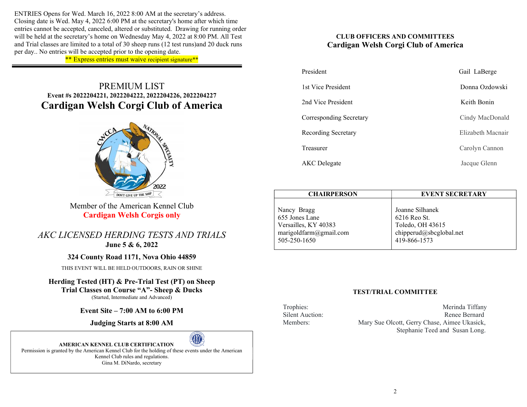ENTRIES Opens for Wed. March 16, 2022 8:00 AM at the secretary's address. Closing date is Wed. May 4, 2022 6:00 PM at the secretary's home after which time entries cannot be accepted, canceled, altered or substituted. Drawing for running order will be held at the secretary's home on Wednesday May 4, 2022 at 8:00 PM. All Test and Trial classes are limited to a total of 30 sheep runs (12 test runs)and 20 duck runs per day.. No entries will be accepted prior to the opening date.

\*\* Express entries must waive recipient signature\*\*

# PREMIUM LIST Event #s 2022204221, 2022204222, 2022204226, 2022204227 Cardigan Welsh Corgi Club of America



Member of the American Kennel Club Cardigan Welsh Corgis only

AKC LICENSED HERDING TESTS AND TRIALS June 5 & 6, 2022

## 324 County Road 1171, Nova Ohio 44859

THIS EVENT WILL BE HELD OUTDOORS, RAIN OR SHINE

Herding Tested (HT) & Pre-Trial Test (PT) on Sheep Trial Classes on Course "A"- Sheep & Ducks (Started, Intermediate and Advanced)

Event Site – 7:00 AM to 6:00 PM

Judging Starts at 8:00 AM



AMERICAN KENNEL CLUB CERTIFICATION Permission is granted by the American Kennel Club for the holding of these events under the American Kennel Club rules and regulations. Gina M. DiNardo, secretary

## CLUB OFFICERS AND COMMITTEES Cardigan Welsh Corgi Club of America

| President               | Gail LaBerge      |
|-------------------------|-------------------|
| 1st Vice President      | Donna Ozdowski    |
| 2nd Vice President      | Keith Bonin       |
| Corresponding Secretary | Cindy MacDonald   |
| Recording Secretary     | Elizabeth Macnair |
| Treasurer               | Carolyn Cannon    |
| <b>AKC</b> Delegate     | Jacque Glenn      |

| <b>CHAIRPERSON</b>                                                                              | <b>EVENT SECRETARY</b>                                                                         |  |  |  |  |  |
|-------------------------------------------------------------------------------------------------|------------------------------------------------------------------------------------------------|--|--|--|--|--|
| Nancy Bragg<br>655 Jones Lane<br>Versailles, KY 40383<br>marigoldfarm@gmail.com<br>505-250-1650 | Joanne Silhanek<br>6216 Reo St.<br>Toledo, OH 43615<br>chipperud@sbcglobal.net<br>419-866-1573 |  |  |  |  |  |
|                                                                                                 |                                                                                                |  |  |  |  |  |

## TEST/TRIAL COMMITTEE

Trophies: Merinda Tiffany Silent Auction: Renee Bernard Members: Mary Sue Olcott, Gerry Chase, Aimee Ukasick, Stephanie Teed and Susan Long.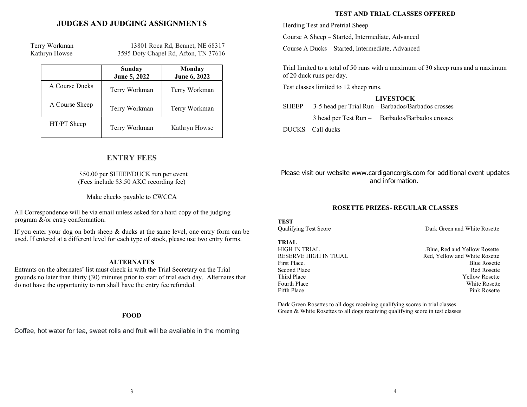## JUDGES AND JUDGING ASSIGNMENTS

 Terry Workman 13801 Roca Rd, Bennet, NE 68317 Kathryn Howse 3595 Doty Chapel Rd, Afton, TN 37616

|                | Sunday<br>June 5, 2022 | Monday<br>June 6, 2022 |
|----------------|------------------------|------------------------|
| A Course Ducks | Terry Workman          | Terry Workman          |
| A Course Sheep | Terry Workman          | Terry Workman          |
| HT/PT Sheep    | Terry Workman          | Kathryn Howse          |

## ENTRY FEES

#### \$50.00 per SHEEP/DUCK run per event (Fees include \$3.50 AKC recording fee)

Make checks payable to CWCCA

All Correspondence will be via email unless asked for a hard copy of the judging program &/or entry conformation.

If you enter your dog on both sheep & ducks at the same level, one entry form can be used. If entered at a different level for each type of stock, please use two entry forms.

#### ALTERNATES

Entrants on the alternates' list must check in with the Trial Secretary on the Trial grounds no later than thirty (30) minutes prior to start of trial each day. Alternates that do not have the opportunity to run shall have the entry fee refunded.

#### FOOD

Coffee, hot water for tea, sweet rolls and fruit will be available in the morning

#### TEST AND TRIAL CLASSES OFFERED

Herding Test and Pretrial Sheep

Course A Sheep – Started, Intermediate, Advanced

Course A Ducks – Started, Intermediate, Advanced

Trial limited to a total of 50 runs with a maximum of 30 sheep runs and a maximum of 20 duck runs per day.

Test classes limited to 12 sheep runs.

### LIVESTOCK

SHEEP 3-5 head per Trial Run – Barbados/Barbados crosses

3 head per Test Run – Barbados/Barbados crosses

DUCKS Call ducks

Please visit our website www.cardigancorgis.com for additional event updates and information.

### ROSETTE PRIZES- REGULAR CLASSES

**TEST** 

TRIAL

Qualifying Test Score Dark Green and White Rosette

HIGH IN TRIAL **.** The same of the same of the Blue, Red and Yellow Rosette RESERVE HIGH IN TRIAL RED, Red, Yellow and White Rosette First Place. Blue Rosette Second Place Red Rosette Third Place Yellow Rosette Fourth Place White Rosette Fifth Place Pink Rosette

Dark Green Rosettes to all dogs receiving qualifying scores in trial classes Green & White Rosettes to all dogs receiving qualifying score in test classes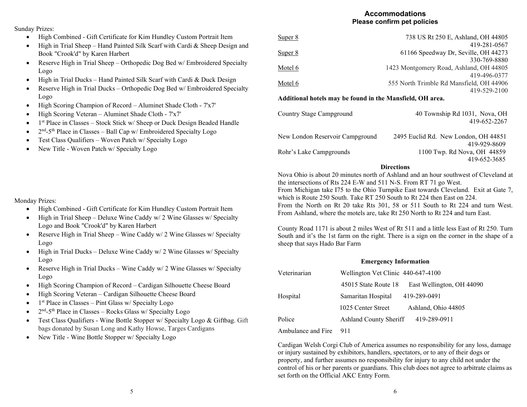## Accommodations Please confirm pet policies

Sunday Prizes:

- High Combined Gift Certificate for Kim Hundley Custom Portrait Item
- $\bullet$  High in Trial Sheep Hand Painted Silk Scarf with Cardi & Sheep Design and Book "Crook'd" by Karen Harbert
- Reserve High in Trial Sheep Orthopedic Dog Bed w/ Embroidered Specialty Logo
- High in Trial Ducks Hand Painted Silk Scarf with Cardi & Duck Design
- Reserve High in Trial Ducks Orthopedic Dog Bed w/ Embroidered Specialty Logo
- High Scoring Champion of Record Aluminet Shade Cloth 7'x7'
- High Scoring Veteran Aluminet Shade Cloth 7'x7'
- $\bullet$  1<sup>st</sup> Place in Classes Stock Stick w/ Sheep or Duck Design Beaded Handle
- $\bullet$   $2<sup>nd</sup>$ -5<sup>th</sup> Place in Classes Ball Cap w/ Embroidered Specialty Logo
- Test Class Qualifiers Woven Patch w/ Specialty Logo
- New Title Woven Patch w/ Specialty Logo

## Monday Prizes:

- High Combined Gift Certificate for Kim Hundley Custom Portrait Item
- $\bullet$  High in Trial Sheep Deluxe Wine Caddy w/ 2 Wine Glasses w/Specialty Logo and Book "Crook'd" by Karen Harbert
- Reserve High in Trial Sheep Wine Caddy w/ 2 Wine Glasses w/ Specialty Logo
- $\bullet$  High in Trial Ducks Deluxe Wine Caddy w/ 2 Wine Glasses w/Specialty Logo
- Reserve High in Trial Ducks Wine Caddy w/ 2 Wine Glasses w/ Specialty Logo
- High Scoring Champion of Record Cardigan Silhouette Cheese Board
- High Scoring Veteran Cardigan Silhouette Cheese Board
- $\bullet$  1<sup>st</sup> Place in Classes Pint Glass w/ Specialty Logo
- $\bullet$  2<sup>nd</sup>-5<sup>th</sup> Place in Classes Rocks Glass w/ Specialty Logo
- **•** Test Class Qualifiers Wine Bottle Stopper w/ Specialty Logo  $\&$  Giftbag. Gift bags donated by Susan Long and Kathy Howse, Targes Cardigans
- New Title Wine Bottle Stopper w/ Specialty Logo

| Super 8 | 738 US Rt 250 E, Ashland, OH 44805       |
|---------|------------------------------------------|
|         | 419-281-0567                             |
| Super 8 | 61166 Speedway Dr, Seville, OH 44273     |
|         | 330-769-8880                             |
| Motel 6 | 1423 Montgomery Road, Ashland, OH 44805  |
|         | 419-496-0377                             |
| Motel 6 | 555 North Trimble Rd Mansfield, OH 44906 |
|         | 419-529-2100                             |

### Additional hotels may be found in the Mansfield, OH area.

| Country Stage Campground        | 40 Township Rd 1031, Nova, OH<br>419-652-2267 |
|---------------------------------|-----------------------------------------------|
| New London Reservoir Campground | 2495 Euclid Rd. New London, OH 44851          |
| Rohr's Lake Campgrounds         | 419-929-8609<br>1100 Twp. Rd Nova, OH 44859   |
|                                 | 419-652-3685                                  |

## **Directions**

Nova Ohio is about 20 minutes north of Ashland and an hour southwest of Cleveland at the intersections of Rts 224 E-W and 511 N-S. From RT 71 go West. From Michigan take I75 to the Ohio Turnpike East towards Cleveland. Exit at Gate 7, which is Route 250 South. Take RT 250 South to Rt 224 then East on 224. From the North on Rt 20 take Rts 301, 58 or 511 South to Rt 224 and turn West. From Ashland, where the motels are, take Rt 250 North to Rt 224 and turn East.

County Road 1171 is about 2 miles West of Rt 511 and a little less East of Rt 250. Turn South and it's the 1st farm on the right. There is a sign on the corner in the shape of a sheep that says Hado Bar Farm

#### Emergency Information

| Veterinarian | Wellington Vet Clinic 440-647-4100 |                           |  |  |  |
|--------------|------------------------------------|---------------------------|--|--|--|
|              | 45015 State Route 18               | East Wellington, OH 44090 |  |  |  |
| Hospital     | Samaritan Hospital                 | 419-289-0491              |  |  |  |
|              | 1025 Center Street                 | Ashland, Ohio 44805       |  |  |  |
| Police       | Ashland County Sheriff             | 419-289-0911              |  |  |  |

Ambulance and Fire 911

Cardigan Welsh Corgi Club of America assumes no responsibility for any loss, damage or injury sustained by exhibitors, handlers, spectators, or to any of their dogs or property, and further assumes no responsibility for injury to any child not under the control of his or her parents or guardians. This club does not agree to arbitrate claims as set forth on the Official AKC Entry Form.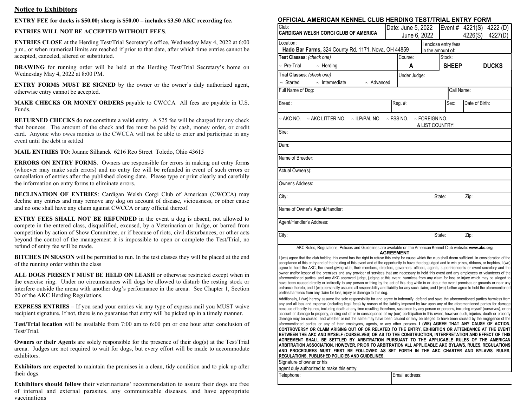#### Notice to Exhibitors

#### ENTRY FEE for ducks is \$50.00; sheep is \$50.00 – includes \$3.50 AKC recording fee.

#### ENTRIES WILL NOT BE ACCEPTED WITHOUT FEES.

ENTRIES CLOSE at the Herding Test/Trial Secretary's office, Wednesday May 4, 2022 at 6:00 p.m., or when numerical limits are reached if prior to that date, after which time entries cannot be accepted, canceled, altered or substituted.

DRAWING for running order will be held at the Herding Test/Trial Secretary's home on Wednesday May 4, 2022 at 8:00 PM.

ENTRY FORMS MUST BE SIGNED by the owner or the owner's duly authorized agent, otherwise entry cannot be accepted.

MAKE CHECKS OR MONEY ORDERS payable to CWCCA All fees are payable in U.S. Funds.

RETURNED CHECKS do not constitute a valid entry. A \$25 fee will be charged for any check that bounces. The amount of the check and fee must be paid by cash, money order, or credit card. Anyone who owes monies to the CWCCA will not be able to enter and participate in any event until the debt is settled

MAIL ENTRIES TO: Joanne Silhanek 6216 Reo Street Toledo, Ohio 43615

ERRORS ON ENTRY FORMS. Owners are responsible for errors in making out entry forms (whoever may make such errors) and no entry fee will be refunded in event of such errors or cancellation of entries after the published closing date. Please type or print clearly and carefully the information on entry forms to eliminate errors.

DECLINATION OF ENTRIES: Cardigan Welsh Corgi Club of American (CWCCA) may decline any entries and may remove any dog on account of disease, viciousness, or other cause and no one shall have any claim against CWCCA or any official thereof.

ENTRY FEES SHALL NOT BE REFUNDED in the event a dog is absent, not allowed to compete in the entered class, disqualified, excused, by a Veterinarian or Judge, or barred from competition by action of Show Committee, or if because of riots, civil disturbances, or other acts beyond the control of the management it is impossible to open or complete the Test/Trial, no refund of entry fee will be made.

BITCHES IN SEASON will be permitted to run. In the test classes they will be placed at the end of the running order within the class

ALL DOGS PRESENT MUST BE HELD ON LEASH or otherwise restricted except when in the exercise ring. Under no circumstances will dogs be allowed to disturb the resting stock or interfere outside the arena with another dog's performance in the arena. See Chapter 1, Section 20 of the AKC Herding Regulations.

EXPRESS ENTRIES – If you send your entries via any type of express mail you MUST waive recipient signature. If not, there is no guarantee that entry will be picked up in a timely manner.

Test/Trial location will be available from 7:00 am to 6:00 pm or one hour after conclusion of Test/Trial.

Owners or their Agents are solely responsible for the presence of their dog(s) at the Test/Trial arena. Judges are not required to wait for dogs, but every effort will be made to accommodate exhibitors.

Exhibitors are expected to maintain the premises in a clean, tidy condition and to pick up after their dogs.

Exhibitors should follow their veterinarians' recommendation to assure their dogs are free of internal and external parasites, any communicable diseases, and have appropriate vaccinations

#### OFFICIAL AMERICAN KENNEL CLUB HERDING TEST/TRIAL ENTRY FORM

| Club:<br>CARDIGAN WELSH CORGI CLUB OF AMERICA                                                                                                                                                                                                                                                                                                                                                                                                                                                                                                                                                                                                                                                                                                                                                                                                                                                                                                                                                                                                                                                                                                                                                                                                                                                                                                                                                                                                                                                                                                                                                                                                                                                                                                                                                                                                                                                                                                                                                                                                                                                                                                                                                                                                                                                                                                                                                                                                                                                                                                                                                                                                                                                                                                                                                   |                                                     | Date: June 5, 2022 |                                           |        |              |                | Event # 4221(S) 4222 (D) |
|-------------------------------------------------------------------------------------------------------------------------------------------------------------------------------------------------------------------------------------------------------------------------------------------------------------------------------------------------------------------------------------------------------------------------------------------------------------------------------------------------------------------------------------------------------------------------------------------------------------------------------------------------------------------------------------------------------------------------------------------------------------------------------------------------------------------------------------------------------------------------------------------------------------------------------------------------------------------------------------------------------------------------------------------------------------------------------------------------------------------------------------------------------------------------------------------------------------------------------------------------------------------------------------------------------------------------------------------------------------------------------------------------------------------------------------------------------------------------------------------------------------------------------------------------------------------------------------------------------------------------------------------------------------------------------------------------------------------------------------------------------------------------------------------------------------------------------------------------------------------------------------------------------------------------------------------------------------------------------------------------------------------------------------------------------------------------------------------------------------------------------------------------------------------------------------------------------------------------------------------------------------------------------------------------------------------------------------------------------------------------------------------------------------------------------------------------------------------------------------------------------------------------------------------------------------------------------------------------------------------------------------------------------------------------------------------------------------------------------------------------------------------------------------------------|-----------------------------------------------------|--------------------|-------------------------------------------|--------|--------------|----------------|--------------------------|
| Location:                                                                                                                                                                                                                                                                                                                                                                                                                                                                                                                                                                                                                                                                                                                                                                                                                                                                                                                                                                                                                                                                                                                                                                                                                                                                                                                                                                                                                                                                                                                                                                                                                                                                                                                                                                                                                                                                                                                                                                                                                                                                                                                                                                                                                                                                                                                                                                                                                                                                                                                                                                                                                                                                                                                                                                                       | June 6, 2022                                        |                    |                                           |        |              | 4226(S)        | 4227(D)                  |
|                                                                                                                                                                                                                                                                                                                                                                                                                                                                                                                                                                                                                                                                                                                                                                                                                                                                                                                                                                                                                                                                                                                                                                                                                                                                                                                                                                                                                                                                                                                                                                                                                                                                                                                                                                                                                                                                                                                                                                                                                                                                                                                                                                                                                                                                                                                                                                                                                                                                                                                                                                                                                                                                                                                                                                                                 | Hado Bar Farms, 324 County Rd. 1171, Nova, OH 44859 |                    | I enclose entry fees<br>in the amount of: |        |              |                |                          |
| Test Classes: (check one)                                                                                                                                                                                                                                                                                                                                                                                                                                                                                                                                                                                                                                                                                                                                                                                                                                                                                                                                                                                                                                                                                                                                                                                                                                                                                                                                                                                                                                                                                                                                                                                                                                                                                                                                                                                                                                                                                                                                                                                                                                                                                                                                                                                                                                                                                                                                                                                                                                                                                                                                                                                                                                                                                                                                                                       |                                                     | Course:            |                                           | Stock: |              |                |                          |
| $\sim$ Pre-Trial<br>$\sim$ Herding                                                                                                                                                                                                                                                                                                                                                                                                                                                                                                                                                                                                                                                                                                                                                                                                                                                                                                                                                                                                                                                                                                                                                                                                                                                                                                                                                                                                                                                                                                                                                                                                                                                                                                                                                                                                                                                                                                                                                                                                                                                                                                                                                                                                                                                                                                                                                                                                                                                                                                                                                                                                                                                                                                                                                              |                                                     | A                  |                                           |        | <b>SHEEP</b> |                | <b>DUCKS</b>             |
| Trial Classes: (check one)                                                                                                                                                                                                                                                                                                                                                                                                                                                                                                                                                                                                                                                                                                                                                                                                                                                                                                                                                                                                                                                                                                                                                                                                                                                                                                                                                                                                                                                                                                                                                                                                                                                                                                                                                                                                                                                                                                                                                                                                                                                                                                                                                                                                                                                                                                                                                                                                                                                                                                                                                                                                                                                                                                                                                                      |                                                     | Under Judge:       |                                           |        |              |                |                          |
| $\sim$ Started<br>$\sim$ Intermediate<br>$\sim$ Advanced                                                                                                                                                                                                                                                                                                                                                                                                                                                                                                                                                                                                                                                                                                                                                                                                                                                                                                                                                                                                                                                                                                                                                                                                                                                                                                                                                                                                                                                                                                                                                                                                                                                                                                                                                                                                                                                                                                                                                                                                                                                                                                                                                                                                                                                                                                                                                                                                                                                                                                                                                                                                                                                                                                                                        |                                                     |                    |                                           |        |              |                |                          |
| Full Name of Dog:                                                                                                                                                                                                                                                                                                                                                                                                                                                                                                                                                                                                                                                                                                                                                                                                                                                                                                                                                                                                                                                                                                                                                                                                                                                                                                                                                                                                                                                                                                                                                                                                                                                                                                                                                                                                                                                                                                                                                                                                                                                                                                                                                                                                                                                                                                                                                                                                                                                                                                                                                                                                                                                                                                                                                                               | Call Name:                                          |                    |                                           |        |              |                |                          |
| Breed:                                                                                                                                                                                                                                                                                                                                                                                                                                                                                                                                                                                                                                                                                                                                                                                                                                                                                                                                                                                                                                                                                                                                                                                                                                                                                                                                                                                                                                                                                                                                                                                                                                                                                                                                                                                                                                                                                                                                                                                                                                                                                                                                                                                                                                                                                                                                                                                                                                                                                                                                                                                                                                                                                                                                                                                          |                                                     | Req.#:             |                                           |        | Sex:         | Date of Birth: |                          |
| $\sim$ AKC NO. $\sim$ AKC LITTER NO. $\sim$ ILP/PAL NO.                                                                                                                                                                                                                                                                                                                                                                                                                                                                                                                                                                                                                                                                                                                                                                                                                                                                                                                                                                                                                                                                                                                                                                                                                                                                                                                                                                                                                                                                                                                                                                                                                                                                                                                                                                                                                                                                                                                                                                                                                                                                                                                                                                                                                                                                                                                                                                                                                                                                                                                                                                                                                                                                                                                                         |                                                     | $\sim$ FSS NO.     | $\sim$ FOREIGN NO.<br>& LIST COUNTRY:     |        |              |                |                          |
| Sire:                                                                                                                                                                                                                                                                                                                                                                                                                                                                                                                                                                                                                                                                                                                                                                                                                                                                                                                                                                                                                                                                                                                                                                                                                                                                                                                                                                                                                                                                                                                                                                                                                                                                                                                                                                                                                                                                                                                                                                                                                                                                                                                                                                                                                                                                                                                                                                                                                                                                                                                                                                                                                                                                                                                                                                                           |                                                     |                    |                                           |        |              |                |                          |
| Dam:                                                                                                                                                                                                                                                                                                                                                                                                                                                                                                                                                                                                                                                                                                                                                                                                                                                                                                                                                                                                                                                                                                                                                                                                                                                                                                                                                                                                                                                                                                                                                                                                                                                                                                                                                                                                                                                                                                                                                                                                                                                                                                                                                                                                                                                                                                                                                                                                                                                                                                                                                                                                                                                                                                                                                                                            |                                                     |                    |                                           |        |              |                |                          |
| Name of Breeder:                                                                                                                                                                                                                                                                                                                                                                                                                                                                                                                                                                                                                                                                                                                                                                                                                                                                                                                                                                                                                                                                                                                                                                                                                                                                                                                                                                                                                                                                                                                                                                                                                                                                                                                                                                                                                                                                                                                                                                                                                                                                                                                                                                                                                                                                                                                                                                                                                                                                                                                                                                                                                                                                                                                                                                                |                                                     |                    |                                           |        |              |                |                          |
| Actual Owner(s):                                                                                                                                                                                                                                                                                                                                                                                                                                                                                                                                                                                                                                                                                                                                                                                                                                                                                                                                                                                                                                                                                                                                                                                                                                                                                                                                                                                                                                                                                                                                                                                                                                                                                                                                                                                                                                                                                                                                                                                                                                                                                                                                                                                                                                                                                                                                                                                                                                                                                                                                                                                                                                                                                                                                                                                |                                                     |                    |                                           |        |              |                |                          |
| Owner's Address:                                                                                                                                                                                                                                                                                                                                                                                                                                                                                                                                                                                                                                                                                                                                                                                                                                                                                                                                                                                                                                                                                                                                                                                                                                                                                                                                                                                                                                                                                                                                                                                                                                                                                                                                                                                                                                                                                                                                                                                                                                                                                                                                                                                                                                                                                                                                                                                                                                                                                                                                                                                                                                                                                                                                                                                |                                                     |                    |                                           |        |              |                |                          |
| City:                                                                                                                                                                                                                                                                                                                                                                                                                                                                                                                                                                                                                                                                                                                                                                                                                                                                                                                                                                                                                                                                                                                                                                                                                                                                                                                                                                                                                                                                                                                                                                                                                                                                                                                                                                                                                                                                                                                                                                                                                                                                                                                                                                                                                                                                                                                                                                                                                                                                                                                                                                                                                                                                                                                                                                                           |                                                     |                    |                                           | State: |              | Zip:           |                          |
| Name of Owner's Agent/Handler:                                                                                                                                                                                                                                                                                                                                                                                                                                                                                                                                                                                                                                                                                                                                                                                                                                                                                                                                                                                                                                                                                                                                                                                                                                                                                                                                                                                                                                                                                                                                                                                                                                                                                                                                                                                                                                                                                                                                                                                                                                                                                                                                                                                                                                                                                                                                                                                                                                                                                                                                                                                                                                                                                                                                                                  |                                                     |                    |                                           |        |              |                |                          |
| Agent/Handler's Address:                                                                                                                                                                                                                                                                                                                                                                                                                                                                                                                                                                                                                                                                                                                                                                                                                                                                                                                                                                                                                                                                                                                                                                                                                                                                                                                                                                                                                                                                                                                                                                                                                                                                                                                                                                                                                                                                                                                                                                                                                                                                                                                                                                                                                                                                                                                                                                                                                                                                                                                                                                                                                                                                                                                                                                        |                                                     |                    |                                           |        |              |                |                          |
| City:                                                                                                                                                                                                                                                                                                                                                                                                                                                                                                                                                                                                                                                                                                                                                                                                                                                                                                                                                                                                                                                                                                                                                                                                                                                                                                                                                                                                                                                                                                                                                                                                                                                                                                                                                                                                                                                                                                                                                                                                                                                                                                                                                                                                                                                                                                                                                                                                                                                                                                                                                                                                                                                                                                                                                                                           |                                                     |                    |                                           | State: |              | Zip:           |                          |
| AKC Rules, Regulations, Policies and Guidelines are available on the American Kennel Club website: www.akc.org<br><b>AGREEMENT</b><br>I (we) agree that the club holding this event has the right to refuse this entry for cause which the club shall deem sufficient. In consideration of the<br>acceptance of this entry and of the holding of this event and of the opportunity to have the dog judged and to win prizes, ribbons, or trophies, I (we)<br>agree to hold the AKC, the event-giving club, their members, directors, governors, officers, agents, superintendents or event secretary and the<br>owner and/or lessor of the premises and any provider of services that are necessary to hold this event and any employees or volunteers of the<br>aforementioned parties, and any AKC approved judge, judging at this event, harmless from any claim for loss or injury which may be alleged to<br>have been caused directly or indirectly to any person or thing by the act of this dog while in or about the event premises or grounds or near any<br>entrance thereto, and I (we) personally assume all responsibility and liability for any such claim; and I (we) further agree to hold the aforementioned<br>parties harmless from any claim for loss, injury or damage to this dog.<br>Additionally, I (we) hereby assume the sole responsibility for and agree to indemnify, defend and save the aforementioned parties harmless from<br>any and all loss and expense (including legal fees) by reason of the liability imposed by law upon any of the aforementioned parties for damage<br>because of bodily injuries, including death at any time resulting therefrom, sustained by any person or persons, including myself (ourselves), or on<br>account of damage to property, arising out of or in consequence of my (our) participation in this event, however such, injuries, death or property<br>damage may be caused, and whether or not the same may have been caused or may be alleged to have been caused by the negligence of the<br>aforementioned parties or any of their employees, agents, or any other persons. I (WE) AGREE THAT ANY CAUSE OF ACTION,<br>CONTROVERSY OR CLAIM ARISING OUT OF OR RELATED TO THE ENTRY, EXHIBITION OR ATTENDANCE AT THE EVENT<br>BETWEEN THE AKC AND MYSELF (OURSELVES) OR AS TO THE CONSTRUCTION, INTERPRETATION AND EFFECT OF THIS<br>AGREEMENT SHALL BE SETTLED BY ARBITRATION PURSUANT TO THE APPLICABLE RULES OF THE AMERICAN<br>ARBITRATION ASSOCIATION. HOWEVER, PRIOR TO ARBITRATION ALL APPLICABLE AKC BYLAWS, RULES, REGULATIONS<br>AND PROCEDURES MUST FIRST BE FOLLOWED AS SET FORTH IN THE AKC CHARTER AND BYLAWS, RULES,<br>REGULATIONS, PUBLISHED POLICIES AND GUIDELINES.<br>Signature of owner or his |                                                     |                    |                                           |        |              |                |                          |
| agent duly authorized to make this entry:<br>Telephone:                                                                                                                                                                                                                                                                                                                                                                                                                                                                                                                                                                                                                                                                                                                                                                                                                                                                                                                                                                                                                                                                                                                                                                                                                                                                                                                                                                                                                                                                                                                                                                                                                                                                                                                                                                                                                                                                                                                                                                                                                                                                                                                                                                                                                                                                                                                                                                                                                                                                                                                                                                                                                                                                                                                                         |                                                     | Email address:     |                                           |        |              |                |                          |
|                                                                                                                                                                                                                                                                                                                                                                                                                                                                                                                                                                                                                                                                                                                                                                                                                                                                                                                                                                                                                                                                                                                                                                                                                                                                                                                                                                                                                                                                                                                                                                                                                                                                                                                                                                                                                                                                                                                                                                                                                                                                                                                                                                                                                                                                                                                                                                                                                                                                                                                                                                                                                                                                                                                                                                                                 |                                                     |                    |                                           |        |              |                |                          |